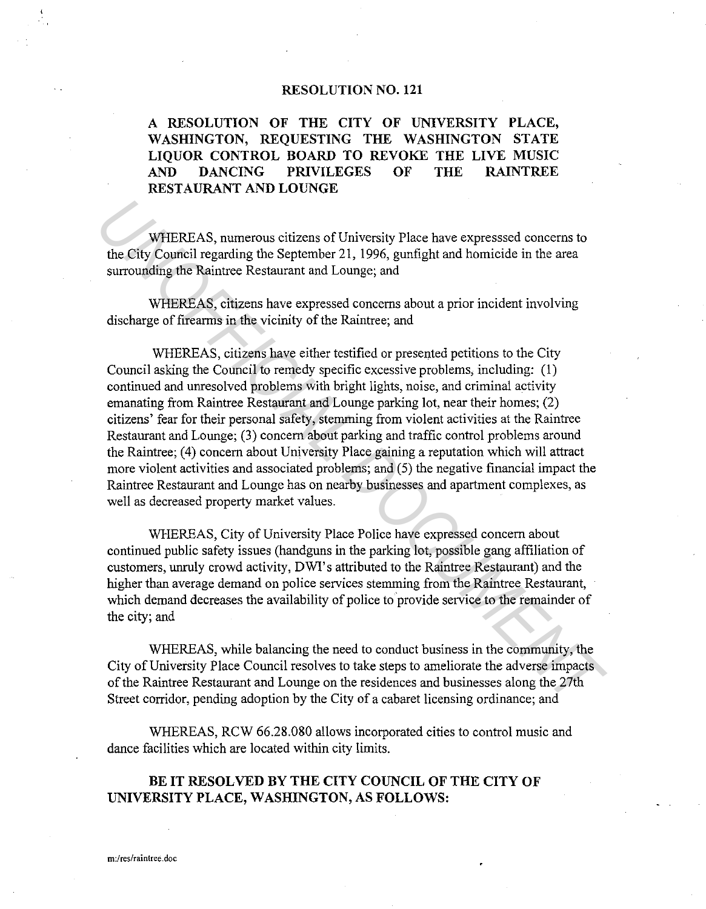## **RESOLUTION NO. 121**

**A RESOLUTION OF THE CITY OF UNIVERSITY PLACE, WASHINGTON, REQUESTING THE WASHINGTON STATE LIQUOR CONTROL BOARD TO REVOKE THE LIVE MUSIC AND DANCING PRIVILEGES OF THE RAINTREE RESTAURANT AND LOUNGE** 

WHEREAS, numerous citizens of University Place have expresssed concerns to the City Council regarding the September 21, 1996, gunfight and homicide in the area surrounding the Raintree Restaurant and Lounge; and

WHEREAS, citizens have expressed concerns about a prior incident involving discharge of firearms in the vicinity of the Raintree; and

WHEREAS, citizens have either testified or presented petitions to the City Council asking the Council to remedy specific excessive problems, including: (1) continued and unresolved problems with bright lights, noise, and criminal activity emanating from Raintree Restaurant and Lounge parking lot, near their homes; (2) citizens' fear for their personal safety, stemming from violent activities at the Raintree Restaurant and Lounge; (3) concern about parking and traffic control problems around the Raintree; (4) concern about University Place gaining a reputation which will attract more violent activities and associated problems; and (5) the negative financial impact the Raintree Restaurant and Lounge has on nearby businesses and apartment complexes, as well as decreased property market values. WHEREAS, numerous citizens of University Place have expressed concerns to the City Courtil regarding the September 21, 1996, gunfight and homicide in the area surrounding the Raintree Restaurant and Lounge; and WHEREAS, ci

WHEREAS, City of University Place Police have expressed concern about continued public safety issues (handguns in the parking lot, possible gang affiliation of customers, unruly crowd activity, DWI's attributed to the Raintree Restaurant) and the higher than average demand on police services stemming from the Raintree Restaurant, which demand decreases the availability of police to provide service to the remainder of the city; and

WHEREAS, while balancing the need to conduct business in the community, the City of University Place Council resolves to take steps to ameliorate the adverse impacts of the Raintree Restaurant and Lounge on the residences and businesses along the 27th Street corridor, pending adoption by the City of a cabaret licensing ordinance; and

WHEREAS, RCW 66.28.080 allows incorporated cities to control music and dance facilities which are located within city limits.

## BE IT RESOLVED BY THE CITY COUNCIL OF THE CITY OF **UNIVERSITY PLACE, WASHINGTON, AS FOLLOWS:**